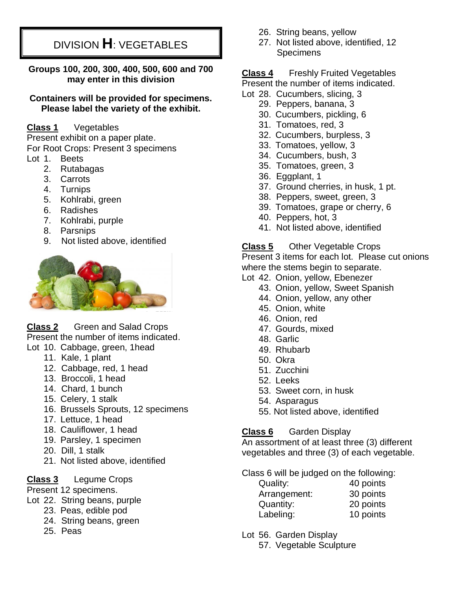# DIVISION **H**: VEGETABLES

#### **Groups 100, 200, 300, 400, 500, 600 and 700 may enter in this division**

#### **Containers will be provided for specimens. Please label the variety of the exhibit.**

#### **Class 1** Vegetables

Present exhibit on a paper plate.

For Root Crops: Present 3 specimens

- Lot 1. Beets
	- 2. Rutabagas
	- 3. Carrots
	- 4. Turnips
	- 5. Kohlrabi, green
	- 6. Radishes
	- 7. Kohlrabi, purple
	- 8. Parsnips
	- 9. Not listed above, identified



**Class 2** Green and Salad Crops Present the number of items indicated.

- Lot 10. Cabbage, green, 1head
	- 11. Kale, 1 plant
	- 12. Cabbage, red, 1 head
	- 13. Broccoli, 1 head
	- 14. Chard, 1 bunch
	- 15. Celery, 1 stalk
	- 16. Brussels Sprouts, 12 specimens
	- 17. Lettuce, 1 head
	- 18. Cauliflower, 1 head
	- 19. Parsley, 1 specimen
	- 20. Dill, 1 stalk
	- 21. Not listed above, identified

#### **Class 3** Legume Crops

- Present 12 specimens.
- Lot 22. String beans, purple
	- 23. Peas, edible pod
	- 24. String beans, green
	- 25. Peas
- 26. String beans, yellow
- 27. Not listed above, identified, 12 **Specimens**

# **Class 4** Freshly Fruited Vegetables

Present the number of items indicated.

- Lot 28. Cucumbers, slicing, 3
	- 29. Peppers, banana, 3
	- 30. Cucumbers, pickling, 6
	- 31. Tomatoes, red, 3
	- 32. Cucumbers, burpless, 3
	- 33. Tomatoes, yellow, 3
	- 34. Cucumbers, bush, 3
	- 35. Tomatoes, green, 3
	- 36. Eggplant, 1
	- 37. Ground cherries, in husk, 1 pt.
	- 38. Peppers, sweet, green, 3
	- 39. Tomatoes, grape or cherry, 6
	- 40. Peppers, hot, 3
	- 41. Not listed above, identified

## **Class 5** Other Vegetable Crops

Present 3 items for each lot. Please cut onions where the stems begin to separate.

- Lot 42. Onion, yellow, Ebenezer
	- 43. Onion, yellow, Sweet Spanish
	- 44. Onion, yellow, any other
	- 45. Onion, white
	- 46. Onion, red
	- 47. Gourds, mixed
	- 48. Garlic
	- 49. Rhubarb
	- 50. Okra
	- 51. Zucchini
	- 52. Leeks
	- 53. Sweet corn, in husk
	- 54. Asparagus
	- 55. Not listed above, identified

## **Class 6** Garden Display

An assortment of at least three (3) different vegetables and three (3) of each vegetable.

Class 6 will be judged on the following:

| Quality:     | 40 points |
|--------------|-----------|
| Arrangement: | 30 points |
| Quantity:    | 20 points |
| Labeling:    | 10 points |

- Lot 56. Garden Display
	- 57. Vegetable Sculpture